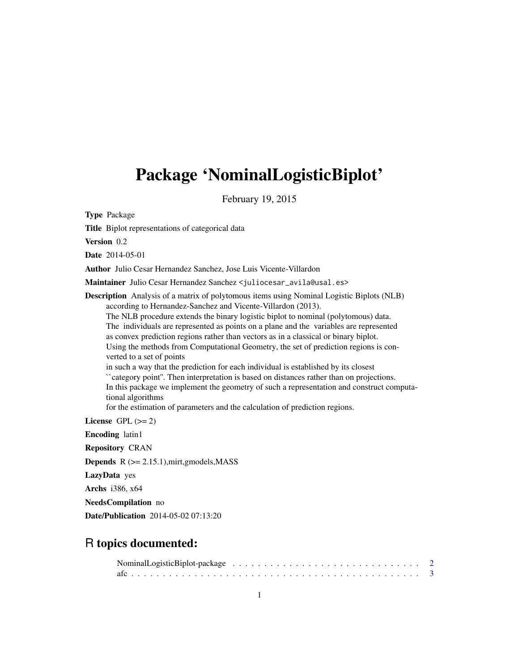# Package 'NominalLogisticBiplot'

February 19, 2015

Type Package

Title Biplot representations of categorical data

Version 0.2

Date 2014-05-01

Author Julio Cesar Hernandez Sanchez, Jose Luis Vicente-Villardon

Maintainer Julio Cesar Hernandez Sanchez <juliocesar\_avila@usal.es>

Description Analysis of a matrix of polytomous items using Nominal Logistic Biplots (NLB) according to Hernandez-Sanchez and Vicente-Villardon (2013). The NLB procedure extends the binary logistic biplot to nominal (polytomous) data. The individuals are represented as points on a plane and the variables are represented as convex prediction regions rather than vectors as in a classical or binary biplot. Using the methods from Computational Geometry, the set of prediction regions is converted to a set of points in such a way that the prediction for each individual is established by its closest ``category point''. Then interpretation is based on distances rather than on projections. In this package we implement the geometry of such a representation and construct computational algorithms for the estimation of parameters and the calculation of prediction regions. License GPL  $(>= 2)$ 

Encoding latin1

Repository CRAN

Depends R (>= 2.15.1),mirt,gmodels,MASS

LazyData yes

Archs i386, x64

NeedsCompilation no

Date/Publication 2014-05-02 07:13:20

# R topics documented: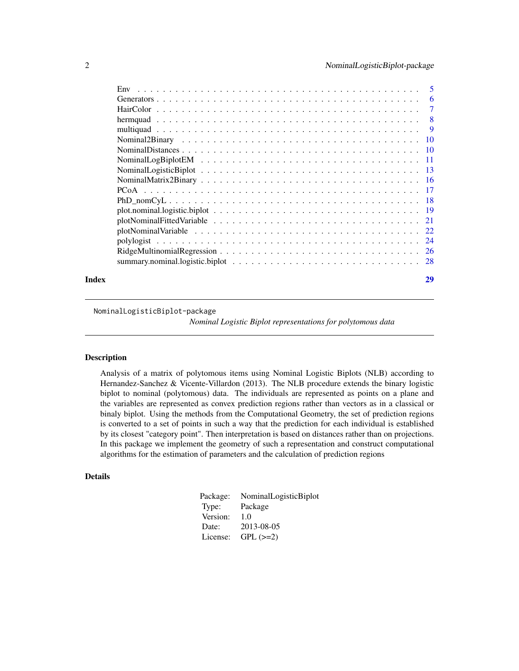<span id="page-1-0"></span>

|       | Env                                                                                                                  |    |
|-------|----------------------------------------------------------------------------------------------------------------------|----|
|       |                                                                                                                      |    |
|       |                                                                                                                      |    |
|       |                                                                                                                      |    |
|       |                                                                                                                      |    |
|       |                                                                                                                      |    |
|       |                                                                                                                      |    |
|       |                                                                                                                      |    |
|       | Nominal Logistic Biplot $\ldots \ldots \ldots \ldots \ldots \ldots \ldots \ldots \ldots \ldots \ldots \ldots \ldots$ |    |
|       |                                                                                                                      |    |
|       |                                                                                                                      |    |
|       |                                                                                                                      |    |
|       |                                                                                                                      |    |
|       |                                                                                                                      |    |
|       |                                                                                                                      |    |
|       |                                                                                                                      |    |
|       |                                                                                                                      |    |
|       |                                                                                                                      |    |
| Index |                                                                                                                      | 29 |

### NominalLogisticBiplot-package

*Nominal Logistic Biplot representations for polytomous data*

### Description

Analysis of a matrix of polytomous items using Nominal Logistic Biplots (NLB) according to Hernandez-Sanchez & Vicente-Villardon (2013). The NLB procedure extends the binary logistic biplot to nominal (polytomous) data. The individuals are represented as points on a plane and the variables are represented as convex prediction regions rather than vectors as in a classical or binaly biplot. Using the methods from the Computational Geometry, the set of prediction regions is converted to a set of points in such a way that the prediction for each individual is established by its closest "category point". Then interpretation is based on distances rather than on projections. In this package we implement the geometry of such a representation and construct computational algorithms for the estimation of parameters and the calculation of prediction regions

### Details

| NominalLogisticBiplot |
|-----------------------|
| Package               |
| 1.0                   |
| 2013-08-05            |
| $GPL$ $(>=2)$         |
|                       |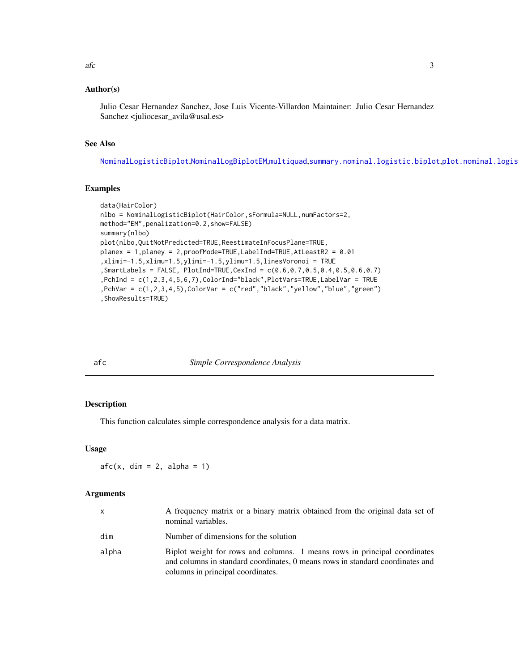#### <span id="page-2-0"></span> $\int$  3

### Author(s)

Julio Cesar Hernandez Sanchez, Jose Luis Vicente-Villardon Maintainer: Julio Cesar Hernandez Sanchez <juliocesar\_avila@usal.es>

# See Also

[NominalLogisticBiplot](#page-12-1),[NominalLogBiplotEM](#page-10-1),[multiquad](#page-8-1),[summary.nominal.logistic.biplot](#page-27-1),[plot.nominal.logistic.biplot](#page-18-1)

#### Examples

```
data(HairColor)
nlbo = NominalLogisticBiplot(HairColor,sFormula=NULL,numFactors=2,
method="EM",penalization=0.2,show=FALSE)
summary(nlbo)
plot(nlbo,QuitNotPredicted=TRUE,ReestimateInFocusPlane=TRUE,
planex = 1,planey = 2,proofMode=TRUE,LabelInd=TRUE,AtLeastR2 = 0.01
,xlimi=-1.5,xlimu=1.5,ylimi=-1.5,ylimu=1.5,linesVoronoi = TRUE
,SmartLabels = FALSE, PlotInd=TRUE,CexInd = c(0.6,0.7,0.5,0.4,0.5,0.6,0.7)
,PchInd = c(1,2,3,4,5,6,7),ColorInd="black",PlotVars=TRUE,LabelVar = TRUE
,PchVar = c(1,2,3,4,5),ColorVar = c("red","black","yellow","blue","green")
,ShowResults=TRUE)
```
# <span id="page-2-1"></span>afc *Simple Correspondence Analysis*

# Description

This function calculates simple correspondence analysis for a data matrix.

#### Usage

 $afc(x, \text{dim} = 2, \text{alpha} = 1)$ 

#### Arguments

| x     | A frequency matrix or a binary matrix obtained from the original data set of<br>nominal variables.                                                                                              |
|-------|-------------------------------------------------------------------------------------------------------------------------------------------------------------------------------------------------|
| dim   | Number of dimensions for the solution                                                                                                                                                           |
| alpha | Biplot weight for rows and columns. 1 means rows in principal coordinates<br>and columns in standard coordinates, 0 means rows in standard coordinates and<br>columns in principal coordinates. |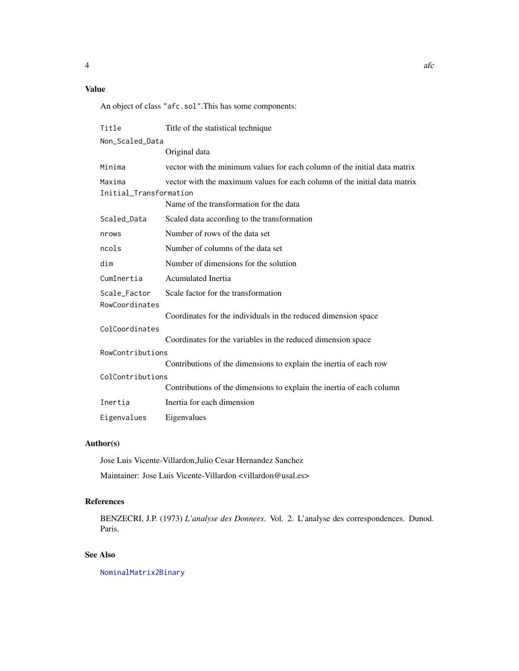# <span id="page-3-0"></span>Value

An object of class "afc.sol".This has some components:

| Title                  | Title of the statistical technique                                        |  |  |
|------------------------|---------------------------------------------------------------------------|--|--|
| Non_Scaled_Data        |                                                                           |  |  |
|                        | Original data                                                             |  |  |
| Minima                 | vector with the minimum values for each column of the initial data matrix |  |  |
| Maxima                 | vector with the maximum values for each column of the initial data matrix |  |  |
| Initial_Transformation |                                                                           |  |  |
|                        | Name of the transformation for the data                                   |  |  |
| Scaled_Data            | Scaled data according to the transformation                               |  |  |
| nrows                  | Number of rows of the data set                                            |  |  |
| ncols                  | Number of columns of the data set                                         |  |  |
| dim                    | Number of dimensions for the solution                                     |  |  |
| CumInertia             | Acumulated Inertia                                                        |  |  |
| Scale_Factor           | Scale factor for the transformation                                       |  |  |
| RowCoordinates         |                                                                           |  |  |
|                        | Coordinates for the individuals in the reduced dimension space            |  |  |
| ColCoordinates         |                                                                           |  |  |
|                        | Coordinates for the variables in the reduced dimension space              |  |  |
| RowContributions       |                                                                           |  |  |
|                        | Contributions of the dimensions to explain the inertia of each row        |  |  |
| ColContributions       |                                                                           |  |  |
|                        | Contributions of the dimensions to explain the inertia of each column     |  |  |
| Inertia                | Inertia for each dimension                                                |  |  |
| Eigenvalues            | Eigenvalues                                                               |  |  |

# Author(s)

Jose Luis Vicente-Villardon,Julio Cesar Hernandez Sanchez Maintainer: Jose Luis Vicente-Villardon <villardon@usal.es>

# References

BENZECRI, J.P. (1973) *L'analyse des Donnees*. Vol. 2. L'analyse des correspondences. Dunod. Paris.

# See Also

[NominalMatrix2Binary](#page-15-1)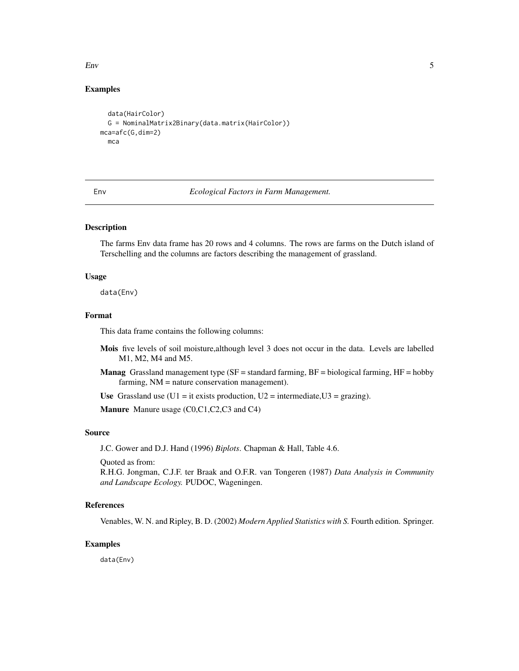<span id="page-4-0"></span> $E_{\rm IV}$  5

## Examples

```
data(HairColor)
  G = NominalMatrix2Binary(data.matrix(HairColor))
mca=afc(G,dim=2)
  mca
```
Env *Ecological Factors in Farm Management.*

### Description

The farms Env data frame has 20 rows and 4 columns. The rows are farms on the Dutch island of Terschelling and the columns are factors describing the management of grassland.

#### Usage

data(Env)

#### Format

This data frame contains the following columns:

- Mois five levels of soil moisture,although level 3 does not occur in the data. Levels are labelled M1, M2, M4 and M5.
- **Manag** Grassland management type (SF = standard farming, BF = biological farming, HF = hobby farming, NM = nature conservation management).

Use Grassland use  $(U1 = it \text{ exists production}, U2 = intermediate, U3 = grazing)$ .

Manure Manure usage (C0,C1,C2,C3 and C4)

# Source

J.C. Gower and D.J. Hand (1996) *Biplots*. Chapman & Hall, Table 4.6.

Quoted as from:

R.H.G. Jongman, C.J.F. ter Braak and O.F.R. van Tongeren (1987) *Data Analysis in Community and Landscape Ecology.* PUDOC, Wageningen.

### References

Venables, W. N. and Ripley, B. D. (2002) *Modern Applied Statistics with S.* Fourth edition. Springer.

# Examples

data(Env)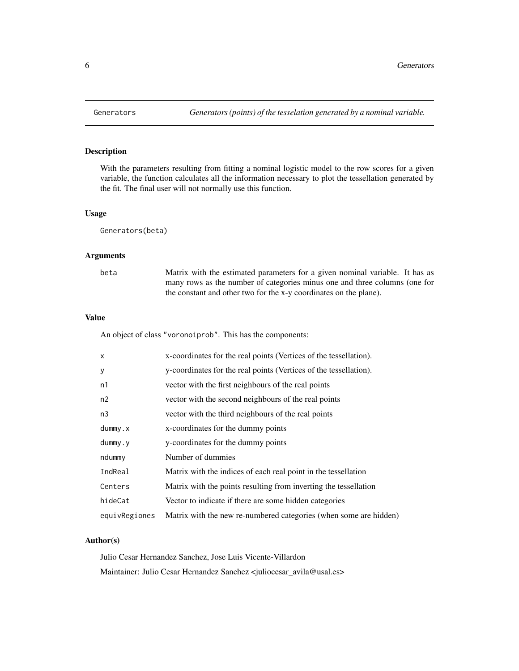<span id="page-5-0"></span>

# Description

With the parameters resulting from fitting a nominal logistic model to the row scores for a given variable, the function calculates all the information necessary to plot the tessellation generated by the fit. The final user will not normally use this function.

### Usage

Generators(beta)

# Arguments

| beta | Matrix with the estimated parameters for a given nominal variable. It has as |
|------|------------------------------------------------------------------------------|
|      | many rows as the number of categories minus one and three columns (one for   |
|      | the constant and other two for the x-y coordinates on the plane).            |

### Value

An object of class "voronoiprob". This has the components:

| $\mathsf{x}$  | x-coordinates for the real points (Vertices of the tessellation). |
|---------------|-------------------------------------------------------------------|
| y             | y-coordinates for the real points (Vertices of the tessellation). |
| n1            | vector with the first neighbours of the real points               |
| n2            | vector with the second neighbours of the real points              |
| n3            | vector with the third neighbours of the real points               |
| $d$ ummy. $x$ | x-coordinates for the dummy points                                |
| $d$ ummy.y    | y-coordinates for the dummy points                                |
| ndummy        | Number of dummies                                                 |
| IndReal       | Matrix with the indices of each real point in the tessellation    |
| Centers       | Matrix with the points resulting from inverting the tessellation  |
| hideCat       | Vector to indicate if there are some hidden categories            |
| equivRegiones | Matrix with the new re-numbered categories (when some are hidden) |

### Author(s)

Julio Cesar Hernandez Sanchez, Jose Luis Vicente-Villardon Maintainer: Julio Cesar Hernandez Sanchez <juliocesar\_avila@usal.es>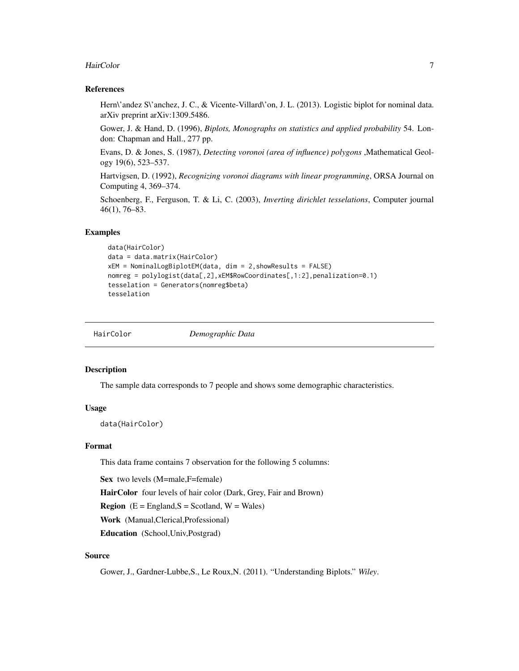#### <span id="page-6-0"></span>HairColor 7

### References

Hern\'andez S\'anchez, J. C., & Vicente-Villard\'on, J. L. (2013). Logistic biplot for nominal data. arXiv preprint arXiv:1309.5486.

Gower, J. & Hand, D. (1996), *Biplots, Monographs on statistics and applied probability* 54. London: Chapman and Hall., 277 pp.

Evans, D. & Jones, S. (1987), *Detecting voronoi (area of influence) polygons* ,Mathematical Geology 19(6), 523–537.

Hartvigsen, D. (1992), *Recognizing voronoi diagrams with linear programming*, ORSA Journal on Computing 4, 369–374.

Schoenberg, F., Ferguson, T. & Li, C. (2003), *Inverting dirichlet tesselations*, Computer journal 46(1), 76–83.

#### Examples

```
data(HairColor)
data = data.matrix(HairColor)
xEM = NominalLogBiplotEM(data, dim = 2,showResults = FALSE)
nomreg = polylogist(data[,2],xEM$RowCoordinates[,1:2],penalization=0.1)
tesselation = Generators(nomreg$beta)
tesselation
```
HairColor *Demographic Data*

### **Description**

The sample data corresponds to 7 people and shows some demographic characteristics.

#### Usage

data(HairColor)

# Format

This data frame contains 7 observation for the following 5 columns:

Sex two levels (M=male,F=female)

HairColor four levels of hair color (Dark, Grey, Fair and Brown)

**Region**  $(E = England, S = Scotland, W = Wales)$ 

Work (Manual,Clerical,Professional)

Education (School,Univ,Postgrad)

#### Source

Gower, J., Gardner-Lubbe,S., Le Roux,N. (2011). "Understanding Biplots." *Wiley*.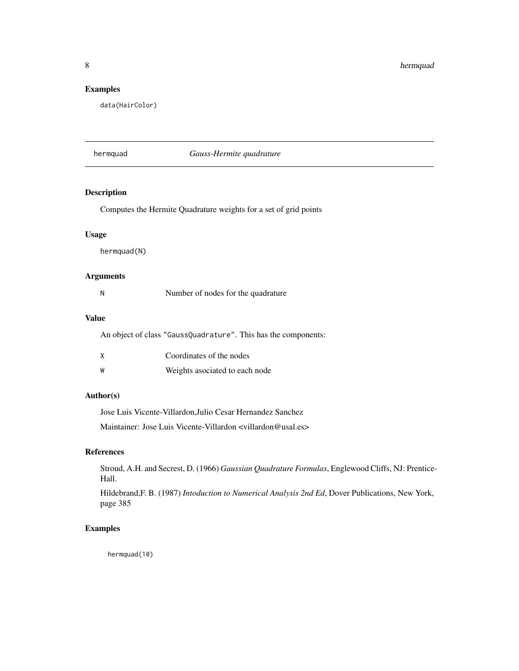<span id="page-7-0"></span>8 hermquad

### Examples

data(HairColor)

<span id="page-7-1"></span>hermquad *Gauss-Hermite quadrature*

### Description

Computes the Hermite Quadrature weights for a set of grid points

# Usage

hermquad(N)

### Arguments

|  | Number of nodes for the quadrature |  |
|--|------------------------------------|--|
|--|------------------------------------|--|

### Value

An object of class "GaussQuadrature". This has the components:

|   | Coordinates of the nodes       |
|---|--------------------------------|
| W | Weights asociated to each node |

# Author(s)

Jose Luis Vicente-Villardon,Julio Cesar Hernandez Sanchez

Maintainer: Jose Luis Vicente-Villardon <villardon@usal.es>

# References

Stroud, A.H. and Secrest, D. (1966) *Gaussian Quadrature Formulas*, Englewood Cliffs, NJ: Prentice-Hall.

Hildebrand,F. B. (1987) *Intoduction to Numerical Analysis 2nd Ed*, Dover Publications, New York, page 385

# Examples

hermquad(10)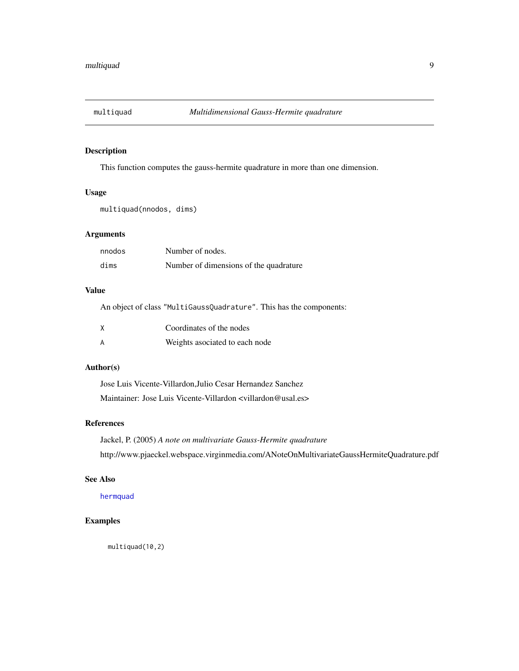<span id="page-8-1"></span><span id="page-8-0"></span>

### Description

This function computes the gauss-hermite quadrature in more than one dimension.

# Usage

multiquad(nnodos, dims)

### Arguments

| nnodos | Number of nodes.                       |
|--------|----------------------------------------|
| dims   | Number of dimensions of the quadrature |

# Value

An object of class "MultiGaussQuadrature". This has the components:

| Coordinates of the nodes       |
|--------------------------------|
| Weights asociated to each node |

# Author(s)

Jose Luis Vicente-Villardon,Julio Cesar Hernandez Sanchez Maintainer: Jose Luis Vicente-Villardon <villardon@usal.es>

# References

Jackel, P. (2005) *A note on multivariate Gauss-Hermite quadrature* http://www.pjaeckel.webspace.virginmedia.com/ANoteOnMultivariateGaussHermiteQuadrature.pdf

### See Also

[hermquad](#page-7-1)

### Examples

multiquad(10,2)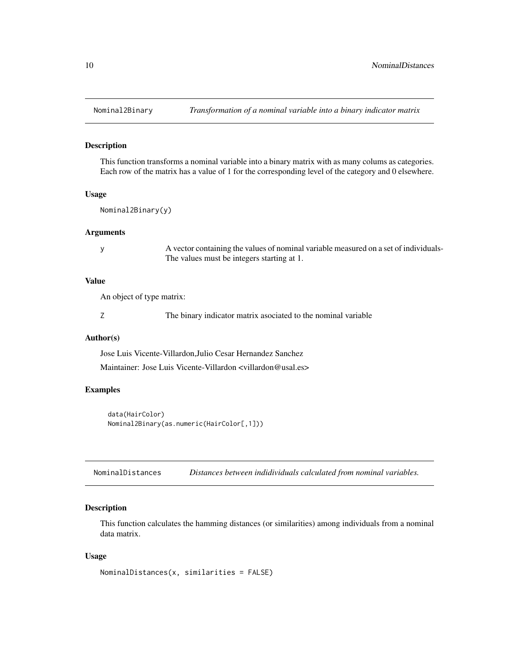<span id="page-9-1"></span><span id="page-9-0"></span>

### Description

This function transforms a nominal variable into a binary matrix with as many colums as categories. Each row of the matrix has a value of 1 for the corresponding level of the category and 0 elsewhere.

#### Usage

```
Nominal2Binary(y)
```
### Arguments

y A vector containing the values of nominal variable measured on a set of individuals-The values must be integers starting at 1.

#### Value

An object of type matrix:

Z The binary indicator matrix asociated to the nominal variable

#### Author(s)

Jose Luis Vicente-Villardon,Julio Cesar Hernandez Sanchez Maintainer: Jose Luis Vicente-Villardon <villardon@usal.es>

### Examples

```
data(HairColor)
Nominal2Binary(as.numeric(HairColor[,1]))
```
<span id="page-9-2"></span>NominalDistances *Distances between indidividuals calculated from nominal variables.*

# Description

This function calculates the hamming distances (or similarities) among individuals from a nominal data matrix.

#### Usage

```
NominalDistances(x, similarities = FALSE)
```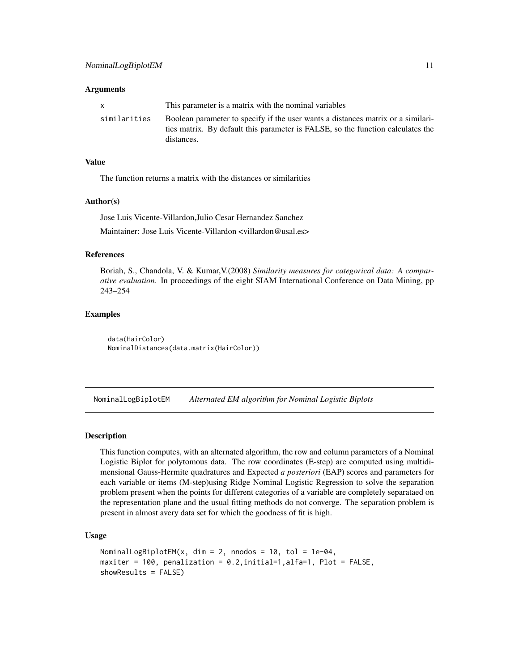#### <span id="page-10-0"></span>**Arguments**

| X            | This parameter is a matrix with the nominal variables                                                                                                                             |
|--------------|-----------------------------------------------------------------------------------------------------------------------------------------------------------------------------------|
| similarities | Boolean parameter to specify if the user wants a distances matrix or a similari-<br>ties matrix. By default this parameter is FALSE, so the function calculates the<br>distances. |

# Value

The function returns a matrix with the distances or similarities

#### Author(s)

Jose Luis Vicente-Villardon,Julio Cesar Hernandez Sanchez Maintainer: Jose Luis Vicente-Villardon <villardon@usal.es>

#### References

Boriah, S., Chandola, V. & Kumar,V.(2008) *Similarity measures for categorical data: A comparative evaluation*. In proceedings of the eight SIAM International Conference on Data Mining, pp 243–254

### Examples

data(HairColor) NominalDistances(data.matrix(HairColor))

<span id="page-10-1"></span>NominalLogBiplotEM *Alternated EM algorithm for Nominal Logistic Biplots*

#### Description

This function computes, with an alternated algorithm, the row and column parameters of a Nominal Logistic Biplot for polytomous data. The row coordinates (E-step) are computed using multidimensional Gauss-Hermite quadratures and Expected *a posteriori* (EAP) scores and parameters for each variable or items (M-step)using Ridge Nominal Logistic Regression to solve the separation problem present when the points for different categories of a variable are completely separataed on the representation plane and the usual fitting methods do not converge. The separation problem is present in almost avery data set for which the goodness of fit is high.

#### Usage

```
NominalLogBiplotEM(x, dim = 2, nnodos = 10, tol = 1e-04,
maxiter = 100, penalization = 0.2,initial=1,alfa=1, Plot = FALSE,
showResults = FALSE)
```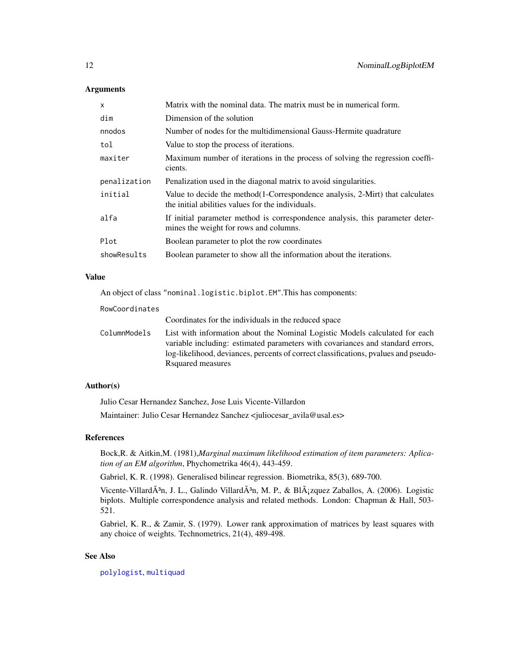### **Arguments**

| $\mathsf{x}$ | Matrix with the nominal data. The matrix must be in numerical form.                                                                    |
|--------------|----------------------------------------------------------------------------------------------------------------------------------------|
| dim          | Dimension of the solution                                                                                                              |
| nnodos       | Number of nodes for the multidimensional Gauss-Hermite quadrature                                                                      |
| tol          | Value to stop the process of iterations.                                                                                               |
| maxiter      | Maximum number of iterations in the process of solving the regression coeffi-<br>cients.                                               |
| penalization | Penalization used in the diagonal matrix to avoid singularities.                                                                       |
| initial      | Value to decide the method $(1$ -Correspondence analysis, 2-Mirt) that calculates<br>the initial abilities values for the individuals. |
| alfa         | If initial parameter method is correspondence analysis, this parameter deter-<br>mines the weight for rows and columns.                |
| Plot         | Boolean parameter to plot the row coordinates                                                                                          |
| showResults  | Boolean parameter to show all the information about the iterations.                                                                    |

#### Value

An object of class "nominal.logistic.biplot.EM".This has components:

#### RowCoordinates

Coordinates for the individuals in the reduced space

ColumnModels List with information about the Nominal Logistic Models calculated for each variable including: estimated parameters with covariances and standard errors, log-likelihood, deviances, percents of correct classifications, pvalues and pseudo-Rsquared measures

# Author(s)

Julio Cesar Hernandez Sanchez, Jose Luis Vicente-Villardon

Maintainer: Julio Cesar Hernandez Sanchez <juliocesar\_avila@usal.es>

# References

Bock,R. & Aitkin,M. (1981),*Marginal maximum likelihood estimation of item parameters: Aplication of an EM algorithm*, Phychometrika 46(4), 443-459.

Gabriel, K. R. (1998). Generalised bilinear regression. Biometrika, 85(3), 689-700.

Vicente-Villard $\tilde{A}^3$ n, J. L., Galindo Villard $\tilde{A}^3$ n, M. P., & Bl $\tilde{A}$ zquez Zaballos, A. (2006). Logistic biplots. Multiple correspondence analysis and related methods. London: Chapman & Hall, 503- 521.

Gabriel, K. R., & Zamir, S. (1979). Lower rank approximation of matrices by least squares with any choice of weights. Technometrics, 21(4), 489-498.

#### See Also

[polylogist](#page-23-1), [multiquad](#page-8-1)

<span id="page-11-0"></span>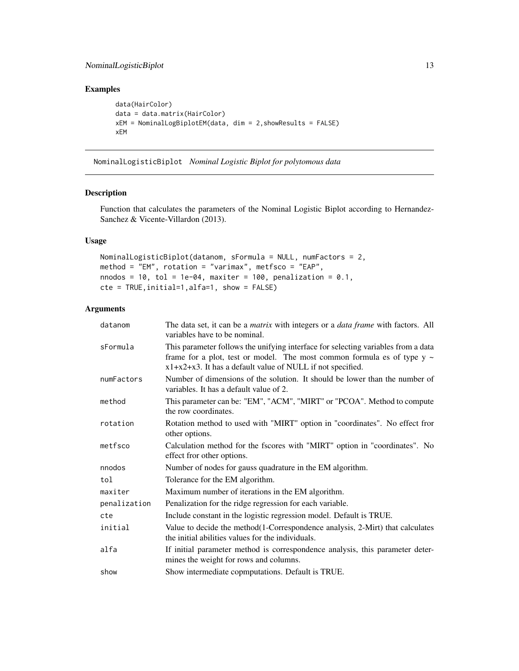# <span id="page-12-0"></span>NominalLogisticBiplot 13

# Examples

```
data(HairColor)
data = data.matrix(HairColor)
xEM = NominalLogBiplotEM(data, dim = 2,showResults = FALSE)
xEM
```
<span id="page-12-1"></span>NominalLogisticBiplot *Nominal Logistic Biplot for polytomous data*

### Description

Function that calculates the parameters of the Nominal Logistic Biplot according to Hernandez-Sanchez & Vicente-Villardon (2013).

# Usage

```
NominalLogisticBiplot(datanom, sFormula = NULL, numFactors = 2,
method = "EM", rotation = "varimax", metfsco = "EAP",
nnodos = 10, tol = 1e-04, maxiter = 100, penalization = 0.1,
cte = TRUE,initial=1,alfa=1, show = FALSE)
```
# Arguments

| datanom      | The data set, it can be a <i>matrix</i> with integers or a <i>data frame</i> with factors. All<br>variables have to be nominal.                                                                                                    |
|--------------|------------------------------------------------------------------------------------------------------------------------------------------------------------------------------------------------------------------------------------|
| sFormula     | This parameter follows the unifying interface for selecting variables from a data<br>frame for a plot, test or model. The most common formula es of type $y \sim$<br>$x1+x2+x3$ . It has a default value of NULL if not specified. |
| numFactors   | Number of dimensions of the solution. It should be lower than the number of<br>variables. It has a default value of 2.                                                                                                             |
| method       | This parameter can be: "EM", "ACM", "MIRT" or "PCOA". Method to compute<br>the row coordinates.                                                                                                                                    |
| rotation     | Rotation method to used with "MIRT" option in "coordinates". No effect fror<br>other options.                                                                                                                                      |
| metfsco      | Calculation method for the fscores with "MIRT" option in "coordinates". No<br>effect fror other options.                                                                                                                           |
| nnodos       | Number of nodes for gauss quadrature in the EM algorithm.                                                                                                                                                                          |
| tol          | Tolerance for the EM algorithm.                                                                                                                                                                                                    |
| maxiter      | Maximum number of iterations in the EM algorithm.                                                                                                                                                                                  |
| penalization | Penalization for the ridge regression for each variable.                                                                                                                                                                           |
| cte          | Include constant in the logistic regression model. Default is TRUE.                                                                                                                                                                |
| initial      | Value to decide the method(1-Correspondence analysis, 2-Mirt) that calculates<br>the initial abilities values for the individuals.                                                                                                 |
| alfa         | If initial parameter method is correspondence analysis, this parameter deter-<br>mines the weight for rows and columns.                                                                                                            |
| show         | Show intermediate copmputations. Default is TRUE.                                                                                                                                                                                  |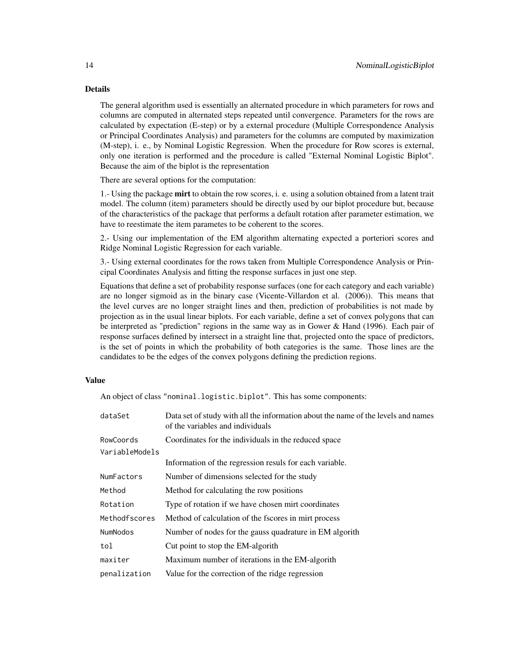### Details

The general algorithm used is essentially an alternated procedure in which parameters for rows and columns are computed in alternated steps repeated until convergence. Parameters for the rows are calculated by expectation (E-step) or by a external procedure (Multiple Correspondence Analysis or Principal Coordinates Analysis) and parameters for the columns are computed by maximization (M-step), i. e., by Nominal Logistic Regression. When the procedure for Row scores is external, only one iteration is performed and the procedure is called "External Nominal Logistic Biplot". Because the aim of the biplot is the representation

There are several options for the computation:

1.- Using the package mirt to obtain the row scores, i. e. using a solution obtained from a latent trait model. The column (item) parameters should be directly used by our biplot procedure but, because of the characteristics of the package that performs a default rotation after parameter estimation, we have to reestimate the item parametes to be coherent to the scores.

2.- Using our implementation of the EM algorithm alternating expected a porteriori scores and Ridge Nominal Logistic Regression for each variable.

3.- Using external coordinates for the rows taken from Multiple Correspondence Analysis or Principal Coordinates Analysis and fitting the response surfaces in just one step.

Equations that define a set of probability response surfaces (one for each category and each variable) are no longer sigmoid as in the binary case (Vicente-Villardon et al. (2006)). This means that the level curves are no longer straight lines and then, prediction of probabilities is not made by projection as in the usual linear biplots. For each variable, define a set of convex polygons that can be interpreted as "prediction" regions in the same way as in Gower & Hand (1996). Each pair of response surfaces defined by intersect in a straight line that, projected onto the space of predictors, is the set of points in which the probability of both categories is the same. Those lines are the candidates to be the edges of the convex polygons defining the prediction regions.

### Value

An object of class "nominal.logistic.biplot". This has some components:

| dataSet        | Data set of study with all the information about the name of the levels and names<br>of the variables and individuals |
|----------------|-----------------------------------------------------------------------------------------------------------------------|
| RowCoords      | Coordinates for the individuals in the reduced space                                                                  |
| VariableModels |                                                                                                                       |
|                | Information of the regression resuls for each variable.                                                               |
| NumFactors     | Number of dimensions selected for the study                                                                           |
| Method         | Method for calculating the row positions                                                                              |
| Rotation       | Type of rotation if we have chosen mirt coordinates                                                                   |
| Methodfscores  | Method of calculation of the fscores in mirt process                                                                  |
| NumNodos       | Number of nodes for the gauss quadrature in EM algorith                                                               |
| tol            | Cut point to stop the EM-algorith                                                                                     |
| maxiter        | Maximum number of iterations in the EM-algorith                                                                       |
| penalization   | Value for the correction of the ridge regression                                                                      |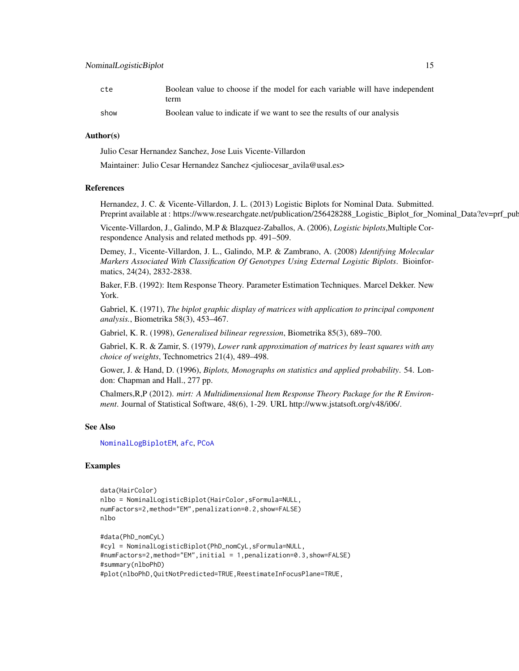<span id="page-14-0"></span>

| cte  | Boolean value to choose if the model for each variable will have independent |
|------|------------------------------------------------------------------------------|
|      | term                                                                         |
| show | Boolean value to indicate if we want to see the results of our analysis      |

#### Author(s)

Julio Cesar Hernandez Sanchez, Jose Luis Vicente-Villardon

Maintainer: Julio Cesar Hernandez Sanchez <iuliocesar\_avila@usal.es>

### References

Hernandez, J. C. & Vicente-Villardon, J. L. (2013) Logistic Biplots for Nominal Data. Submitted. Preprint available at : https://www.researchgate.net/publication/256428288\_Logistic\_Biplot\_for\_Nominal\_Data?ev=prf\_pub

Vicente-Villardon, J., Galindo, M.P & Blazquez-Zaballos, A. (2006), *Logistic biplots*,Multiple Correspondence Analysis and related methods pp. 491–509.

Demey, J., Vicente-Villardon, J. L., Galindo, M.P. & Zambrano, A. (2008) *Identifying Molecular Markers Associated With Classification Of Genotypes Using External Logistic Biplots*. Bioinformatics, 24(24), 2832-2838.

Baker, F.B. (1992): Item Response Theory. Parameter Estimation Techniques. Marcel Dekker. New York.

Gabriel, K. (1971), *The biplot graphic display of matrices with application to principal component analysis.*, Biometrika 58(3), 453–467.

Gabriel, K. R. (1998), *Generalised bilinear regression*, Biometrika 85(3), 689–700.

Gabriel, K. R. & Zamir, S. (1979), *Lower rank approximation of matrices by least squares with any choice of weights*, Technometrics 21(4), 489–498.

Gower, J. & Hand, D. (1996), *Biplots, Monographs on statistics and applied probability*. 54. London: Chapman and Hall., 277 pp.

Chalmers,R,P (2012). *mirt: A Multidimensional Item Response Theory Package for the R Environment*. Journal of Statistical Software, 48(6), 1-29. URL http://www.jstatsoft.org/v48/i06/.

#### See Also

[NominalLogBiplotEM](#page-10-1), [afc](#page-2-1), [PCoA](#page-16-1)

```
data(HairColor)
nlbo = NominalLogisticBiplot(HairColor,sFormula=NULL,
numFactors=2,method="EM",penalization=0.2,show=FALSE)
nlbo
#data(PhD_nomCyL)
```

```
#cyl = NominalLogisticBiplot(PhD_nomCyL,sFormula=NULL,
#numFactors=2,method="EM",initial = 1,penalization=0.3,show=FALSE)
#summary(nlboPhD)
#plot(nlboPhD,QuitNotPredicted=TRUE,ReestimateInFocusPlane=TRUE,
```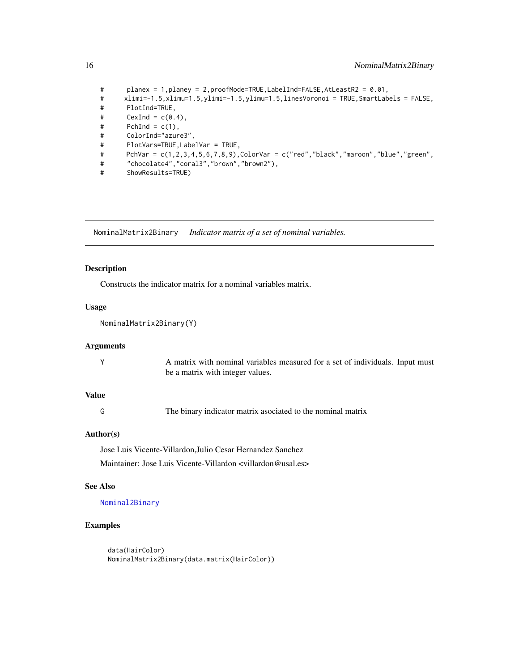```
# planex = 1,planey = 2,proofMode=TRUE,LabelInd=FALSE,AtLeastR2 = 0.01,
# xlimi=-1.5,xlimu=1.5,ylimi=-1.5,ylimu=1.5,linesVoronoi = TRUE,SmartLabels = FALSE,
# PlotInd=TRUE,
# CexInd = c(0.4),
# PchInd = c(1),# ColorInd="azure3",
# PlotVars=TRUE,LabelVar = TRUE,
# PchVar = c(1,2,3,4,5,6,7,8,9),ColorVar = c("red","black","maroon","blue","green",
# "chocolate4","coral3","brown","brown2"),
# ShowResults=TRUE)
```
<span id="page-15-1"></span>NominalMatrix2Binary *Indicator matrix of a set of nominal variables.*

### Description

Constructs the indicator matrix for a nominal variables matrix.

# Usage

NominalMatrix2Binary(Y)

#### Arguments

| A matrix with nominal variables measured for a set of individuals. Input must |
|-------------------------------------------------------------------------------|
| be a matrix with integer values.                                              |

### Value

G The binary indicator matrix asociated to the nominal matrix

### Author(s)

Jose Luis Vicente-Villardon,Julio Cesar Hernandez Sanchez Maintainer: Jose Luis Vicente-Villardon <villardon@usal.es>

# See Also

[Nominal2Binary](#page-9-1)

### Examples

data(HairColor) NominalMatrix2Binary(data.matrix(HairColor))

<span id="page-15-0"></span>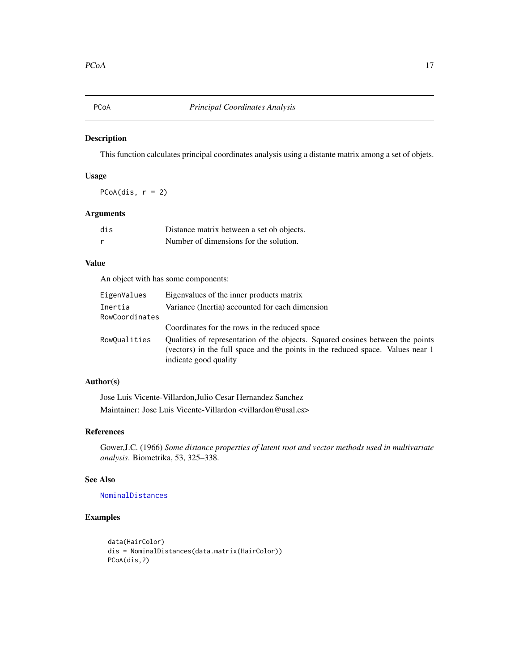<span id="page-16-1"></span><span id="page-16-0"></span>

# Description

This function calculates principal coordinates analysis using a distante matrix among a set of objets.

# Usage

PCoA(dis,  $r = 2$ )

# Arguments

| dis | Distance matrix between a set ob objects. |
|-----|-------------------------------------------|
|     | Number of dimensions for the solution.    |

# Value

An object with has some components:

| EigenValues               | Eigenvalues of the inner products matrix                                                                                                                                                  |
|---------------------------|-------------------------------------------------------------------------------------------------------------------------------------------------------------------------------------------|
| Inertia<br>RowCoordinates | Variance (Inertia) accounted for each dimension                                                                                                                                           |
|                           | Coordinates for the rows in the reduced space                                                                                                                                             |
| RowQualities              | Qualities of representation of the objects. Squared cosines between the points<br>(vectors) in the full space and the points in the reduced space. Values near 1<br>indicate good quality |

# Author(s)

Jose Luis Vicente-Villardon,Julio Cesar Hernandez Sanchez Maintainer: Jose Luis Vicente-Villardon <villardon@usal.es>

### References

Gower,J.C. (1966) *Some distance properties of latent root and vector methods used in multivariate analysis*. Biometrika, 53, 325–338.

# See Also

[NominalDistances](#page-9-2)

```
data(HairColor)
dis = NominalDistances(data.matrix(HairColor))
PCoA(dis,2)
```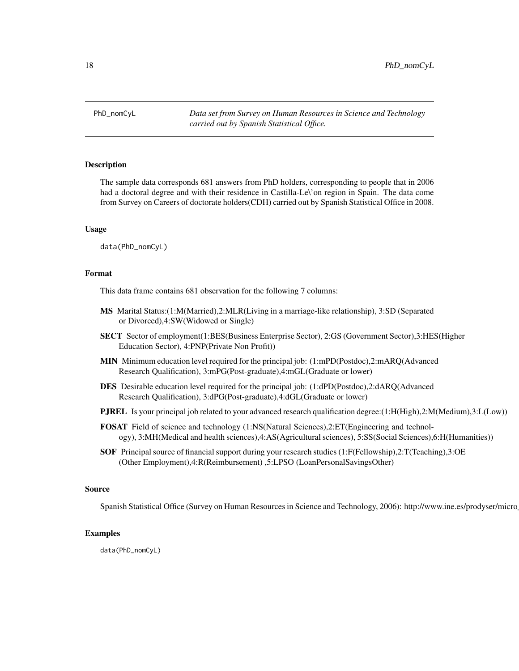<span id="page-17-0"></span>PhD\_nomCyL *Data set from Survey on Human Resources in Science and Technology carried out by Spanish Statistical Office.*

#### Description

The sample data corresponds 681 answers from PhD holders, corresponding to people that in 2006 had a doctoral degree and with their residence in Castilla-Le\'on region in Spain. The data come from Survey on Careers of doctorate holders(CDH) carried out by Spanish Statistical Office in 2008.

#### Usage

data(PhD\_nomCyL)

#### Format

This data frame contains 681 observation for the following 7 columns:

- MS Marital Status:(1:M(Married),2:MLR(Living in a marriage-like relationship), 3:SD (Separated or Divorced),4:SW(Widowed or Single)
- SECT Sector of employment(1:BES(Business Enterprise Sector), 2:GS (Government Sector),3:HES(Higher Education Sector), 4:PNP(Private Non Profit))
- MIN Minimum education level required for the principal job: (1:mPD(Postdoc),2:mARQ(Advanced Research Qualification), 3:mPG(Post-graduate),4:mGL(Graduate or lower)
- DES Desirable education level required for the principal job: (1:dPD(Postdoc),2:dARQ(Advanced Research Qualification), 3:dPG(Post-graduate),4:dGL(Graduate or lower)
- PJREL Is your principal job related to your advanced research qualification degree:(1:H(High),2:M(Medium),3:L(Low))
- FOSAT Field of science and technology (1:NS(Natural Sciences),2:ET(Engineering and technology), 3:MH(Medical and health sciences),4:AS(Agricultural sciences), 5:SS(Social Sciences),6:H(Humanities))
- SOF Principal source of financial support during your research studies (1:F(Fellowship),2:T(Teaching),3:OE (Other Employment),4:R(Reimbursement) ,5:LPSO (LoanPersonalSavingsOther)

### Source

Spanish Statistical Office (Survey on Human Resources in Science and Technology, 2006): http://www.ine.es/prodyser/micro

#### Examples

data(PhD\_nomCyL)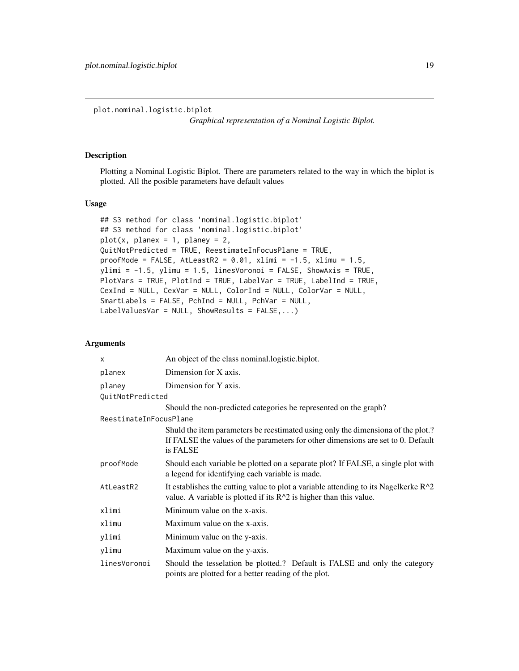<span id="page-18-1"></span><span id="page-18-0"></span>plot.nominal.logistic.biplot

*Graphical representation of a Nominal Logistic Biplot.*

### Description

Plotting a Nominal Logistic Biplot. There are parameters related to the way in which the biplot is plotted. All the posible parameters have default values

#### Usage

```
## S3 method for class 'nominal.logistic.biplot'
## S3 method for class 'nominal.logistic.biplot'
plot(x, planex = 1, planey = 2,QuitNotPredicted = TRUE, ReestimateInFocusPlane = TRUE,
proofMode = FALSE, AtLeastR2 = 0.01, xlimi = -1.5, xlimu = 1.5,
ylimi = -1.5, ylimu = 1.5, linesVoronoi = FALSE, ShowAxis = TRUE,
PlotVars = TRUE, PlotInd = TRUE, LabelVar = TRUE, LabelInd = TRUE,
CexInd = NULL, CexVar = NULL, ColorInd = NULL, ColorVar = NULL,
SmartLabels = FALSE, PchInd = NULL, PchVar = NULL,
LabelValuesVar = NULL, ShowResults = FALSE,...)
```
### Arguments

| X                      | An object of the class nominal logistic biplot.                                                                                                                                  |
|------------------------|----------------------------------------------------------------------------------------------------------------------------------------------------------------------------------|
| planex                 | Dimension for X axis.                                                                                                                                                            |
| planey                 | Dimension for Y axis.                                                                                                                                                            |
| QuitNotPredicted       |                                                                                                                                                                                  |
|                        | Should the non-predicted categories be represented on the graph?                                                                                                                 |
| ReestimateInFocusPlane |                                                                                                                                                                                  |
|                        | Shuld the item parameters be reestimated using only the dimensiona of the plot.?<br>If FALSE the values of the parameters for other dimensions are set to 0. Default<br>is FALSE |
| proofMode              | Should each variable be plotted on a separate plot? If FALSE, a single plot with<br>a legend for identifying each variable is made.                                              |
| AtLeastR2              | It establishes the cutting value to plot a variable attending to its Nagelkerke $R^2$<br>value. A variable is plotted if its $R^2$ is higher than this value.                    |
| xlimi                  | Minimum value on the x-axis.                                                                                                                                                     |
| xlimu                  | Maximum value on the x-axis.                                                                                                                                                     |
| ylimi                  | Minimum value on the y-axis.                                                                                                                                                     |
| ylimu                  | Maximum value on the y-axis.                                                                                                                                                     |
| linesVoronoi           | Should the tesselation be plotted.? Default is FALSE and only the category<br>points are plotted for a better reading of the plot.                                               |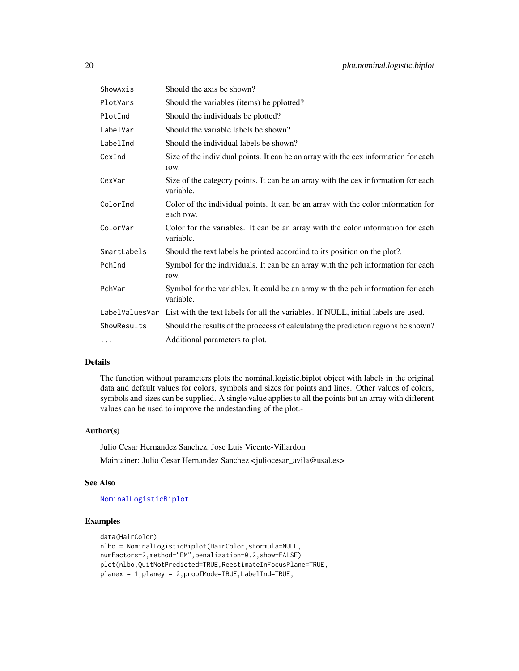<span id="page-19-0"></span>

| ShowAxis    | Should the axis be shown?                                                                         |
|-------------|---------------------------------------------------------------------------------------------------|
| PlotVars    | Should the variables (items) be pplotted?                                                         |
| PlotInd     | Should the individuals be plotted?                                                                |
| LabelVar    | Should the variable labels be shown?                                                              |
| LabelInd    | Should the individual labels be shown?                                                            |
| CexInd      | Size of the individual points. It can be an array with the cex information for each<br>row.       |
| CexVar      | Size of the category points. It can be an array with the cex information for each<br>variable.    |
| ColorInd    | Color of the individual points. It can be an array with the color information for<br>each row.    |
| ColorVar    | Color for the variables. It can be an array with the color information for each<br>variable.      |
| SmartLabels | Should the text labels be printed accordind to its position on the plot?.                         |
| PchInd      | Symbol for the individuals. It can be an array with the pch information for each<br>row.          |
| PchVar      | Symbol for the variables. It could be an array with the pch information for each<br>variable.     |
|             | LabelValuesVar List with the text labels for all the variables. If NULL, initial labels are used. |
| ShowResults | Should the results of the process of calculating the prediction regions be shown?                 |
| $\cdots$    | Additional parameters to plot.                                                                    |

#### Details

The function without parameters plots the nominal.logistic.biplot object with labels in the original data and default values for colors, symbols and sizes for points and lines. Other values of colors, symbols and sizes can be supplied. A single value applies to all the points but an array with different values can be used to improve the undestanding of the plot.-

### Author(s)

Julio Cesar Hernandez Sanchez, Jose Luis Vicente-Villardon Maintainer: Julio Cesar Hernandez Sanchez <juliocesar\_avila@usal.es>

#### See Also

### [NominalLogisticBiplot](#page-12-1)

```
data(HairColor)
nlbo = NominalLogisticBiplot(HairColor,sFormula=NULL,
numFactors=2,method="EM",penalization=0.2,show=FALSE)
plot(nlbo,QuitNotPredicted=TRUE,ReestimateInFocusPlane=TRUE,
planex = 1,planey = 2,proofMode=TRUE,LabelInd=TRUE,
```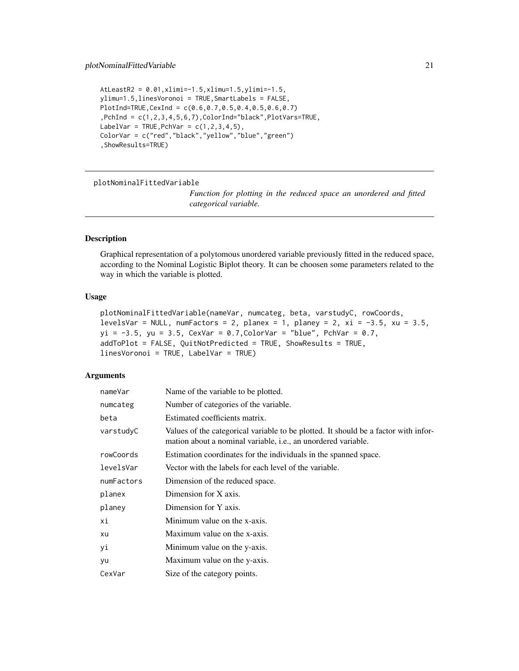```
AtLeastR2 = 0.01,xlimi=-1.5,xlimu=1.5,ylimi=-1.5,
ylimu=1.5,linesVoronoi = TRUE,SmartLabels = FALSE,
PlotInd=TRUE,CexInd = c(0.6,0.7,0.5,0.4,0.5,0.6,0.7)
,PchInd = c(1,2,3,4,5,6,7),ColorInd="black",PlotVars=TRUE,
LabelVar = TRUE, PchVar = c(1, 2, 3, 4, 5),
ColorVar = c("red","black","yellow","blue","green")
,ShowResults=TRUE)
```
plotNominalFittedVariable

*Function for plotting in the reduced space an unordered and fitted categorical variable.*

# Description

Graphical representation of a polytomous unordered variable previously fitted in the reduced space, according to the Nominal Logistic Biplot theory. It can be choosen some parameters related to the way in which the variable is plotted.

### Usage

```
plotNominalFittedVariable(nameVar, numcateg, beta, varstudyC, rowCoords,
levelsVar = NULL, numFactors = 2, planex = 1, planey = 2, xi = -3.5, xu = 3.5,
yi = -3.5, yu = 3.5, CexVar = 0.7, ColorVar = "blue", PchVar = 0.7,
addToPlot = FALSE, QuitNotPredicted = TRUE, ShowResults = TRUE,
linesVoronoi = TRUE, LabelVar = TRUE)
```
#### **Arguments**

| nameVar    | Name of the variable to be plotted.                                                                                                                          |
|------------|--------------------------------------------------------------------------------------------------------------------------------------------------------------|
| numcateg   | Number of categories of the variable.                                                                                                                        |
| beta       | Estimated coefficients matrix.                                                                                                                               |
| varstudyC  | Values of the categorical variable to be plotted. It should be a factor with infor-<br>mation about a nominal variable, <i>i.e.</i> , an unordered variable. |
| rowCoords  | Estimation coordinates for the individuals in the spanned space.                                                                                             |
| levelsVar  | Vector with the labels for each level of the variable.                                                                                                       |
| numFactors | Dimension of the reduced space.                                                                                                                              |
| planex     | Dimension for X axis.                                                                                                                                        |
| planey     | Dimension for Y axis.                                                                                                                                        |
| хi         | Minimum value on the x-axis.                                                                                                                                 |
| xu         | Maximum value on the x-axis.                                                                                                                                 |
| уi         | Minimum value on the y-axis.                                                                                                                                 |
| yu         | Maximum value on the y-axis.                                                                                                                                 |
| CexVar     | Size of the category points.                                                                                                                                 |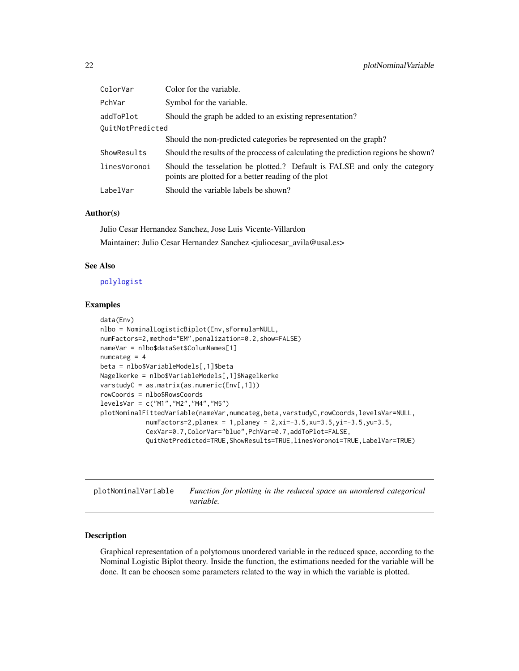<span id="page-21-0"></span>

| ColorVar         | Color for the variable.                                                                                                           |  |
|------------------|-----------------------------------------------------------------------------------------------------------------------------------|--|
| PchVar           | Symbol for the variable.                                                                                                          |  |
| addToPlot        | Should the graph be added to an existing representation?                                                                          |  |
| OuitNotPredicted |                                                                                                                                   |  |
|                  | Should the non-predicted categories be represented on the graph?                                                                  |  |
| ShowResults      | Should the results of the process of calculating the prediction regions be shown?                                                 |  |
| linesVoronoi     | Should the tesselation be plotted.? Default is FALSE and only the category<br>points are plotted for a better reading of the plot |  |
| LabelVar         | Should the variable labels be shown?                                                                                              |  |
|                  |                                                                                                                                   |  |

#### Author(s)

Julio Cesar Hernandez Sanchez, Jose Luis Vicente-Villardon Maintainer: Julio Cesar Hernandez Sanchez <juliocesar\_avila@usal.es>

### See Also

#### [polylogist](#page-23-1)

#### Examples

```
data(Env)
nlbo = NominalLogisticBiplot(Env,sFormula=NULL,
numFactors=2,method="EM",penalization=0.2,show=FALSE)
nameVar = nlbo$dataSet$ColumNames[1]
numcateg = 4beta = nlbo$VariableModels[,1]$beta
Nagelkerke = nlbo$VariableModels[,1]$Nagelkerke
varstudyC = as.matrix(as.numeric(Env[,1]))
rowCoords = nlbo$RowsCoords
levelsVar = c("M1","M2","M4","M5")
plotNominalFittedVariable(nameVar,numcateg,beta,varstudyC,rowCoords,levelsVar=NULL,
            numFactors=2,planex = 1,planey = 2, xi=-3.5, xu=3.5, yi=-3.5, yu=3.5,
            CexVar=0.7,ColorVar="blue",PchVar=0.7,addToPlot=FALSE,
            QuitNotPredicted=TRUE,ShowResults=TRUE,linesVoronoi=TRUE,LabelVar=TRUE)
```
plotNominalVariable *Function for plotting in the reduced space an unordered categorical variable.*

## Description

Graphical representation of a polytomous unordered variable in the reduced space, according to the Nominal Logistic Biplot theory. Inside the function, the estimations needed for the variable will be done. It can be choosen some parameters related to the way in which the variable is plotted.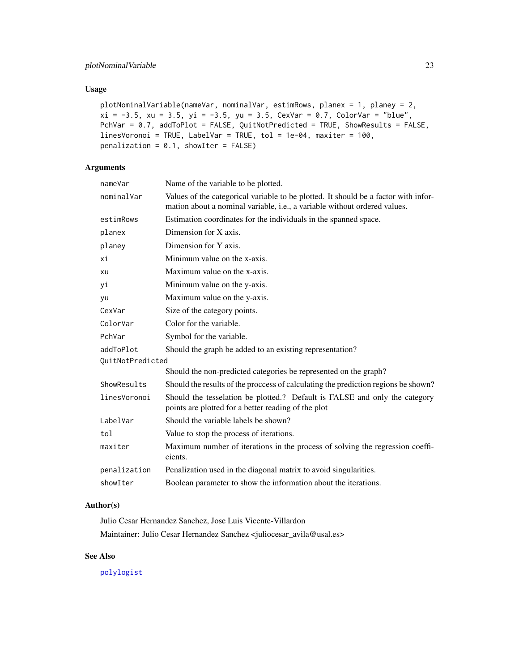# <span id="page-22-0"></span>Usage

```
plotNominalVariable(nameVar, nominalVar, estimRows, planex = 1, planey = 2,
xi = -3.5, xu = 3.5, yi = -3.5, yu = 3.5, CexVar = 0.7, ColorVar = "blue",PchVar = 0.7, addToPlot = FALSE, QuitNotPredicted = TRUE, ShowResults = FALSE,
linesVoronoi = TRUE, LabelVar = TRUE, tol = 1e-04, maxiter = 100,
penalization = 0.1, showIter = FALSE)
```
# Arguments

| nameVar          | Name of the variable to be plotted.                                                                                                                              |  |
|------------------|------------------------------------------------------------------------------------------------------------------------------------------------------------------|--|
| nominalVar       | Values of the categorical variable to be plotted. It should be a factor with infor-<br>mation about a nominal variable, i.e., a variable without ordered values. |  |
| estimRows        | Estimation coordinates for the individuals in the spanned space.                                                                                                 |  |
| planex           | Dimension for X axis.                                                                                                                                            |  |
| planey           | Dimension for Y axis.                                                                                                                                            |  |
| хi               | Minimum value on the x-axis.                                                                                                                                     |  |
| xu               | Maximum value on the x-axis.                                                                                                                                     |  |
| уi               | Minimum value on the y-axis.                                                                                                                                     |  |
| yu               | Maximum value on the y-axis.                                                                                                                                     |  |
| CexVar           | Size of the category points.                                                                                                                                     |  |
| ColorVar         | Color for the variable.                                                                                                                                          |  |
| PchVar           | Symbol for the variable.                                                                                                                                         |  |
| addToPlot        | Should the graph be added to an existing representation?                                                                                                         |  |
| OuitNotPredicted |                                                                                                                                                                  |  |
|                  | Should the non-predicted categories be represented on the graph?                                                                                                 |  |
| ShowResults      | Should the results of the process of calculating the prediction regions be shown?                                                                                |  |
| linesVoronoi     | Should the tesselation be plotted.? Default is FALSE and only the category<br>points are plotted for a better reading of the plot                                |  |
| LabelVar         | Should the variable labels be shown?                                                                                                                             |  |
| tol              | Value to stop the process of iterations.                                                                                                                         |  |
| maxiter          | Maximum number of iterations in the process of solving the regression coeffi-<br>cients.                                                                         |  |
| penalization     | Penalization used in the diagonal matrix to avoid singularities.                                                                                                 |  |
| showIter         | Boolean parameter to show the information about the iterations.                                                                                                  |  |
|                  |                                                                                                                                                                  |  |

### Author(s)

Julio Cesar Hernandez Sanchez, Jose Luis Vicente-Villardon Maintainer: Julio Cesar Hernandez Sanchez <juliocesar\_avila@usal.es>

### See Also

[polylogist](#page-23-1)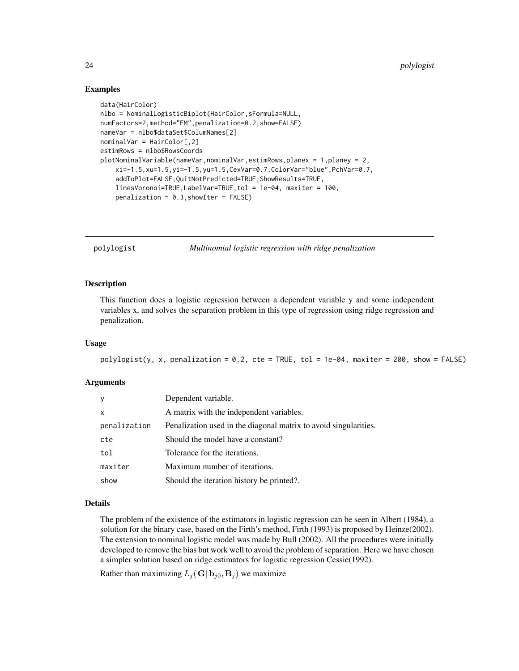### Examples

```
data(HairColor)
nlbo = NominalLogisticBiplot(HairColor,sFormula=NULL,
numFactors=2,method="EM",penalization=0.2,show=FALSE)
nameVar = nlbo$dataSet$ColumNames[2]
nominalVar = HairColor[,2]
estimRows = nlbo$RowsCoords
plotNominalVariable(nameVar,nominalVar,estimRows,planex = 1,planey = 2,
    xi=-1.5,xu=1.5,yi=-1.5,yu=1.5,CexVar=0.7,ColorVar="blue",PchVar=0.7,
    addToPlot=FALSE,QuitNotPredicted=TRUE,ShowResults=TRUE,
    linesVoronoi=TRUE,LabelVar=TRUE,tol = 1e-04, maxiter = 100,
    penalization = 0.3, showIter = FALSE)
```
<span id="page-23-1"></span>

polylogist *Multinomial logistic regression with ridge penalization*

#### Description

This function does a logistic regression between a dependent variable y and some independent variables x, and solves the separation problem in this type of regression using ridge regression and penalization.

#### Usage

```
polylogist(y, x, penalization = 0.2, cte = TRUE, tol = 1e-04, maxiter = 200, show = FALSE)
```
### Arguments

| У            | Dependent variable.                                              |
|--------------|------------------------------------------------------------------|
| x            | A matrix with the independent variables.                         |
| penalization | Penalization used in the diagonal matrix to avoid singularities. |
| cte          | Should the model have a constant?                                |
| tol          | Tolerance for the iterations.                                    |
| maxiter      | Maximum number of iterations.                                    |
| show         | Should the iteration history be printed?.                        |

### Details

The problem of the existence of the estimators in logistic regression can be seen in Albert (1984), a solution for the binary case, based on the Firth's method, Firth (1993) is proposed by Heinze(2002). The extension to nominal logistic model was made by Bull (2002). All the procedures were initially developed to remove the bias but work well to avoid the problem of separation. Here we have chosen a simpler solution based on ridge estimators for logistic regression Cessie(1992).

Rather than maximizing  $L_i(G|\mathbf{b}_{i0}, \mathbf{B}_i)$  we maximize

<span id="page-23-0"></span>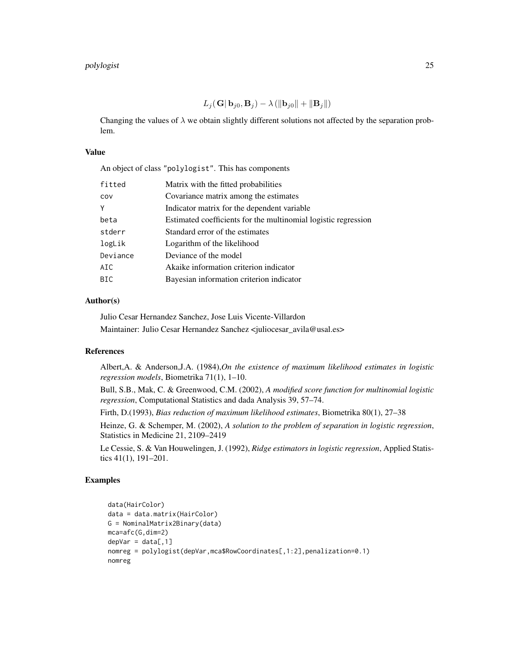$L_j(\mathbf{G}|\mathbf{b}_{j0}, \mathbf{B}_j) - \lambda (\|\mathbf{b}_{j0}\| + \|\mathbf{B}_j\|)$ 

Changing the values of  $\lambda$  we obtain slightly different solutions not affected by the separation problem.

### Value

An object of class "polylogist". This has components

| fitted     | Matrix with the fitted probabilities                           |
|------------|----------------------------------------------------------------|
| COV        | Covariance matrix among the estimates                          |
| Υ          | Indicator matrix for the dependent variable                    |
| beta       | Estimated coefficients for the multinomial logistic regression |
| stderr     | Standard error of the estimates                                |
| logLik     | Logarithm of the likelihood                                    |
| Deviance   | Deviance of the model                                          |
| AIC        | Akaike information criterion indicator                         |
| <b>BIC</b> | Bayesian information criterion indicator                       |
|            |                                                                |

### Author(s)

Julio Cesar Hernandez Sanchez, Jose Luis Vicente-Villardon

Maintainer: Julio Cesar Hernandez Sanchez <juliocesar\_avila@usal.es>

### References

Albert,A. & Anderson,J.A. (1984),*On the existence of maximum likelihood estimates in logistic regression models*, Biometrika 71(1), 1–10.

Bull, S.B., Mak, C. & Greenwood, C.M. (2002), *A modified score function for multinomial logistic regression*, Computational Statistics and dada Analysis 39, 57–74.

Firth, D.(1993), *Bias reduction of maximum likelihood estimates*, Biometrika 80(1), 27–38

Heinze, G. & Schemper, M. (2002), *A solution to the problem of separation in logistic regression*, Statistics in Medicine 21, 2109–2419

Le Cessie, S. & Van Houwelingen, J. (1992), *Ridge estimators in logistic regression*, Applied Statistics 41(1), 191–201.

```
data(HairColor)
data = data.matrix(HairColor)
G = NominalMatrix2Binary(data)
mca=afc(G,dim=2)
depVar = data[, 1]nomreg = polylogist(depVar,mca$RowCoordinates[,1:2],penalization=0.1)
nomreg
```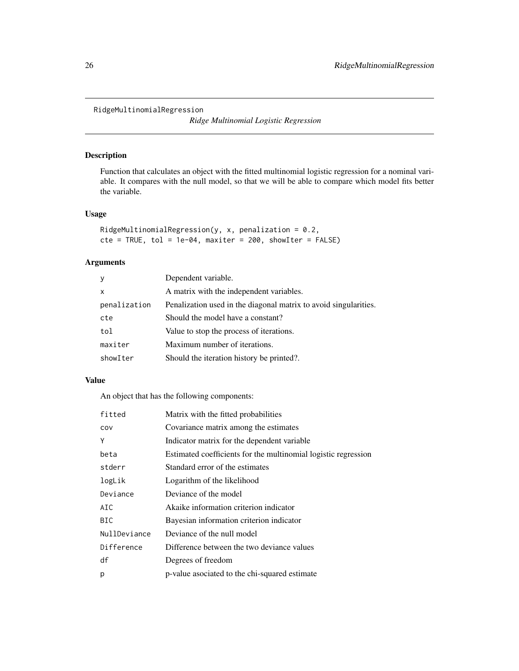<span id="page-25-0"></span>RidgeMultinomialRegression

*Ridge Multinomial Logistic Regression*

### Description

Function that calculates an object with the fitted multinomial logistic regression for a nominal variable. It compares with the null model, so that we will be able to compare which model fits better the variable.

# Usage

```
RidgeMultinomialRegression(y, x, penalization = 0.2,cte = TRUE, tol = 1e-04, maxiter = 200, showIter = FALSE)
```
### Arguments

| y            | Dependent variable.                                              |
|--------------|------------------------------------------------------------------|
| $\mathsf{x}$ | A matrix with the independent variables.                         |
| penalization | Penalization used in the diagonal matrix to avoid singularities. |
| cte          | Should the model have a constant?                                |
| tol          | Value to stop the process of iterations.                         |
| maxiter      | Maximum number of iterations.                                    |
| showIter     | Should the iteration history be printed?.                        |

### Value

An object that has the following components:

| fitted       | Matrix with the fitted probabilities                           |
|--------------|----------------------------------------------------------------|
| COV          | Covariance matrix among the estimates                          |
| Υ            | Indicator matrix for the dependent variable                    |
| beta         | Estimated coefficients for the multinomial logistic regression |
| stderr       | Standard error of the estimates                                |
| logLik       | Logarithm of the likelihood                                    |
| Deviance     | Deviance of the model                                          |
| AIC          | Akaike information criterion indicator                         |
| BIC.         | Bayesian information criterion indicator                       |
| NullDeviance | Deviance of the null model                                     |
| Difference   | Difference between the two deviance values                     |
| df           | Degrees of freedom                                             |
| р            | p-value asociated to the chi-squared estimate                  |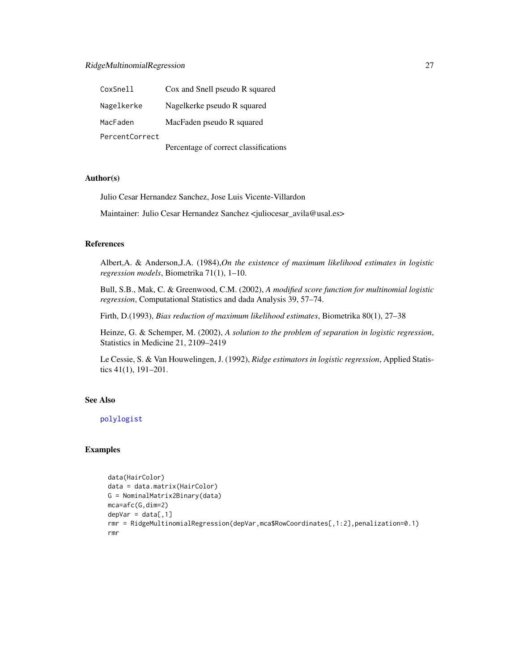### <span id="page-26-0"></span>RidgeMultinomialRegression 27

| CoxSnell       | Cox and Snell pseudo R squared        |
|----------------|---------------------------------------|
| Nagelkerke     | Nagelkerke pseudo R squared           |
| MacFaden       | MacFaden pseudo R squared             |
| PercentCorrect |                                       |
|                | Percentage of correct classifications |

#### Author(s)

Julio Cesar Hernandez Sanchez, Jose Luis Vicente-Villardon

Maintainer: Julio Cesar Hernandez Sanchez <juliocesar\_avila@usal.es>

### References

Albert,A. & Anderson,J.A. (1984),*On the existence of maximum likelihood estimates in logistic regression models*, Biometrika 71(1), 1–10.

Bull, S.B., Mak, C. & Greenwood, C.M. (2002), *A modified score function for multinomial logistic regression*, Computational Statistics and dada Analysis 39, 57–74.

Firth, D.(1993), *Bias reduction of maximum likelihood estimates*, Biometrika 80(1), 27–38

Heinze, G. & Schemper, M. (2002), *A solution to the problem of separation in logistic regression*, Statistics in Medicine 21, 2109–2419

Le Cessie, S. & Van Houwelingen, J. (1992), *Ridge estimators in logistic regression*, Applied Statistics 41(1), 191–201.

# See Also

[polylogist](#page-23-1)

```
data(HairColor)
data = data.matrix(HairColor)
G = NominalMatrix2Binary(data)
mca=afc(G,dim=2)
depVar = data[, 1]rmr = RidgeMultinomialRegression(depVar,mca$RowCoordinates[,1:2],penalization=0.1)
rmr
```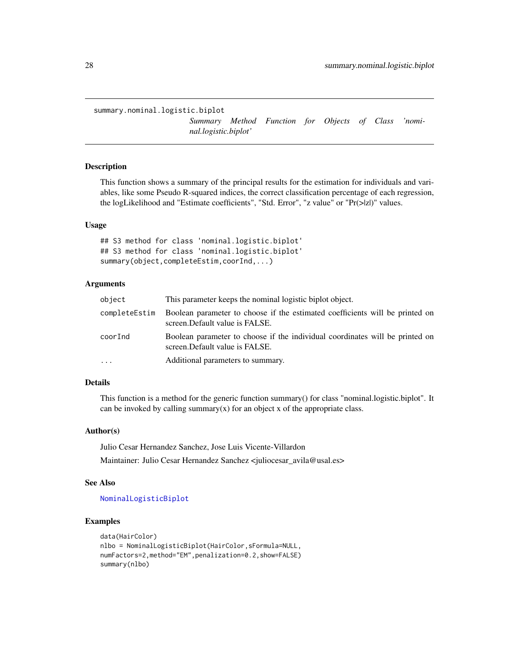<span id="page-27-1"></span><span id="page-27-0"></span>summary.nominal.logistic.biplot

*Summary Method Function for Objects of Class 'nominal.logistic.biplot'*

### Description

This function shows a summary of the principal results for the estimation for individuals and variables, like some Pseudo R-squared indices, the correct classification percentage of each regression, the logLikelihood and "Estimate coefficients", "Std. Error", "z value" or "Pr(>|z|)" values.

#### Usage

## S3 method for class 'nominal.logistic.biplot' ## S3 method for class 'nominal.logistic.biplot' summary(object,completeEstim,coorInd,...)

### Arguments

| object        | This parameter keeps the nominal logistic biplot object.                                                        |
|---------------|-----------------------------------------------------------------------------------------------------------------|
| completeEstim | Boolean parameter to choose if the estimated coefficients will be printed on<br>screen. Default value is FALSE. |
| coorInd       | Boolean parameter to choose if the individual coordinates will be printed on<br>screen. Default value is FALSE. |
| $\cdots$      | Additional parameters to summary.                                                                               |

# Details

This function is a method for the generic function summary() for class "nominal.logistic.biplot". It can be invoked by calling summary $(x)$  for an object x of the appropriate class.

#### Author(s)

Julio Cesar Hernandez Sanchez, Jose Luis Vicente-Villardon

Maintainer: Julio Cesar Hernandez Sanchez <juliocesar\_avila@usal.es>

#### See Also

#### [NominalLogisticBiplot](#page-12-1)

```
data(HairColor)
nlbo = NominalLogisticBiplot(HairColor,sFormula=NULL,
numFactors=2,method="EM",penalization=0.2,show=FALSE)
summary(nlbo)
```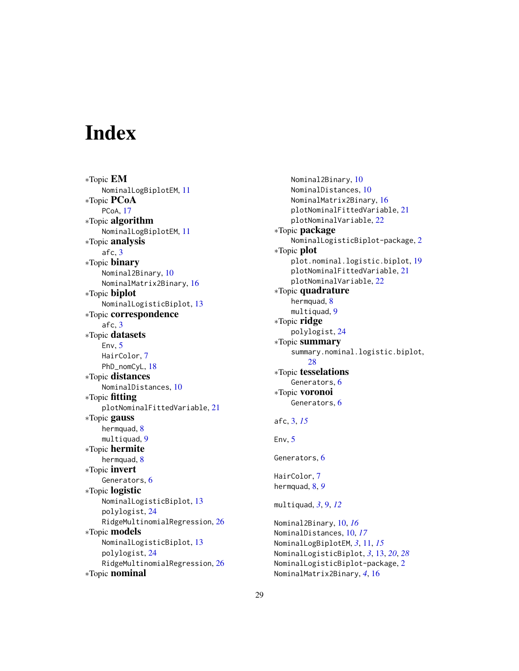# <span id="page-28-0"></span>**Index**

∗Topic EM NominalLogBiplotEM, [11](#page-10-0) ∗Topic PCoA PCoA, [17](#page-16-0) ∗Topic algorithm NominalLogBiplotEM, [11](#page-10-0) ∗Topic analysis afc, [3](#page-2-0) ∗Topic binary Nominal2Binary, [10](#page-9-0) NominalMatrix2Binary, [16](#page-15-0) ∗Topic biplot NominalLogisticBiplot, [13](#page-12-0) ∗Topic correspondence afc, [3](#page-2-0) ∗Topic datasets Env, [5](#page-4-0) HairColor, [7](#page-6-0) PhD\_nomCyL, [18](#page-17-0) ∗Topic distances NominalDistances, [10](#page-9-0) ∗Topic fitting plotNominalFittedVariable, [21](#page-20-0) ∗Topic gauss hermquad, [8](#page-7-0) multiquad, [9](#page-8-0) ∗Topic hermite hermquad, [8](#page-7-0) ∗Topic invert Generators, [6](#page-5-0) ∗Topic logistic NominalLogisticBiplot, [13](#page-12-0) polylogist, [24](#page-23-0) RidgeMultinomialRegression, [26](#page-25-0) ∗Topic models NominalLogisticBiplot, [13](#page-12-0) polylogist, [24](#page-23-0) RidgeMultinomialRegression, [26](#page-25-0) ∗Topic nominal

Nominal2Binary, [10](#page-9-0) NominalDistances, [10](#page-9-0) NominalMatrix2Binary, [16](#page-15-0) plotNominalFittedVariable, [21](#page-20-0) plotNominalVariable, [22](#page-21-0) ∗Topic package NominalLogisticBiplot-package, [2](#page-1-0) ∗Topic plot plot.nominal.logistic.biplot, [19](#page-18-0) plotNominalFittedVariable, [21](#page-20-0) plotNominalVariable, [22](#page-21-0) ∗Topic quadrature hermquad, [8](#page-7-0)  $multiquad, 9$  $multiquad, 9$ ∗Topic ridge polylogist, [24](#page-23-0) ∗Topic summary summary.nominal.logistic.biplot, [28](#page-27-0) ∗Topic tesselations Generators, [6](#page-5-0) ∗Topic voronoi Generators, [6](#page-5-0) afc, [3,](#page-2-0) *[15](#page-14-0)* Env,  $5$ Generators, [6](#page-5-0) HairColor, [7](#page-6-0) hermquad, [8,](#page-7-0) *[9](#page-8-0)* multiquad, *[3](#page-2-0)*, [9,](#page-8-0) *[12](#page-11-0)* Nominal2Binary, [10,](#page-9-0) *[16](#page-15-0)* NominalDistances, [10,](#page-9-0) *[17](#page-16-0)* NominalLogBiplotEM, *[3](#page-2-0)*, [11,](#page-10-0) *[15](#page-14-0)* NominalLogisticBiplot, *[3](#page-2-0)*, [13,](#page-12-0) *[20](#page-19-0)*, *[28](#page-27-0)* NominalLogisticBiplot-package, [2](#page-1-0) NominalMatrix2Binary, *[4](#page-3-0)*, [16](#page-15-0)